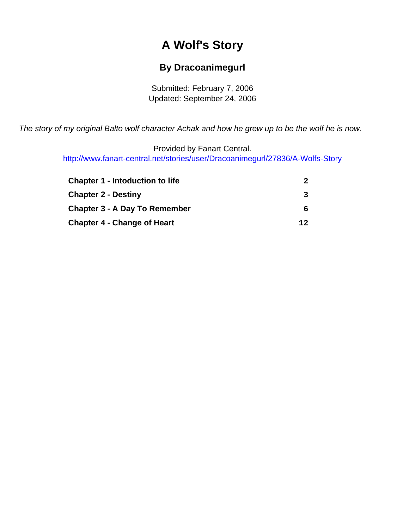# **A Wolf's Story**

## **By Dracoanimegurl**

Submitted: February 7, 2006 Updated: September 24, 2006

<span id="page-0-0"></span>The story of my original Balto wolf character Achak and how he grew up to be the wolf he is now.

Provided by Fanart Central. [http://www.fanart-central.net/stories/user/Dracoanimegurl/27836/A-Wolfs-Story](#page-0-0)

| <b>Chapter 1 - Intoduction to life</b> | 2  |
|----------------------------------------|----|
| <b>Chapter 2 - Destiny</b>             | 3  |
| <b>Chapter 3 - A Day To Remember</b>   | 6  |
| <b>Chapter 4 - Change of Heart</b>     | 12 |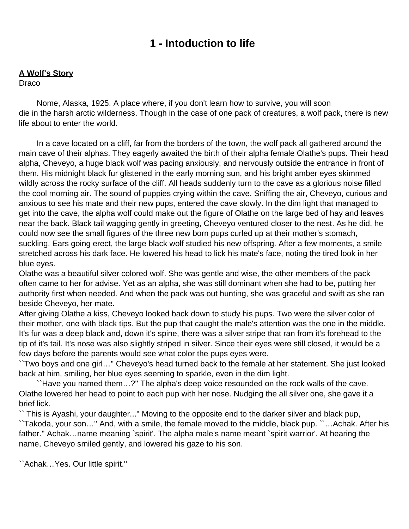# **1 - Intoduction to life**

### <span id="page-1-0"></span>**A Wolf's Story**

Draco

 Nome, Alaska, 1925. A place where, if you don't learn how to survive, you will soon die in the harsh arctic wilderness. Though in the case of one pack of creatures, a wolf pack, there is new life about to enter the world.

 In a cave located on a cliff, far from the borders of the town, the wolf pack all gathered around the main cave of their alphas. They eagerly awaited the birth of their alpha female Olathe's pups. Their head alpha, Cheveyo, a huge black wolf was pacing anxiously, and nervously outside the entrance in front of them. His midnight black fur glistened in the early morning sun, and his bright amber eyes skimmed wildly across the rocky surface of the cliff. All heads suddenly turn to the cave as a glorious noise filled the cool morning air. The sound of puppies crying within the cave. Sniffing the air, Cheveyo, curious and anxious to see his mate and their new pups, entered the cave slowly. In the dim light that managed to get into the cave, the alpha wolf could make out the figure of Olathe on the large bed of hay and leaves near the back. Black tail wagging gently in greeting, Cheveyo ventured closer to the nest. As he did, he could now see the small figures of the three new born pups curled up at their mother's stomach, suckling. Ears going erect, the large black wolf studied his new offspring. After a few moments, a smile stretched across his dark face. He lowered his head to lick his mate's face, noting the tired look in her blue eyes.

Olathe was a beautiful silver colored wolf. She was gentle and wise, the other members of the pack often came to her for advise. Yet as an alpha, she was still dominant when she had to be, putting her authority first when needed. And when the pack was out hunting, she was graceful and swift as she ran beside Cheveyo, her mate.

After giving Olathe a kiss, Cheveyo looked back down to study his pups. Two were the silver color of their mother, one with black tips. But the pup that caught the male's attention was the one in the middle. It's fur was a deep black and, down it's spine, there was a silver stripe that ran from it's forehead to the tip of it's tail. It's nose was also slightly striped in silver. Since their eyes were still closed, it would be a few days before the parents would see what color the pups eyes were.

``Two boys and one girl…'' Cheveyo's head turned back to the female at her statement. She just looked back at him, smiling, her blue eyes seeming to sparkle, even in the dim light.

 ``Have you named them…?'' The alpha's deep voice resounded on the rock walls of the cave. Olathe lowered her head to point to each pup with her nose. Nudging the all silver one, she gave it a brief lick.

`` This is Ayashi, your daughter...'' Moving to the opposite end to the darker silver and black pup, ``Takoda, your son…'' And, with a smile, the female moved to the middle, black pup. ``…Achak. After his father." Achak...name meaning `spirit'. The alpha male's name meant `spirit warrior'. At hearing the name, Cheveyo smiled gently, and lowered his gaze to his son.

``Achak…Yes. Our little spirit.''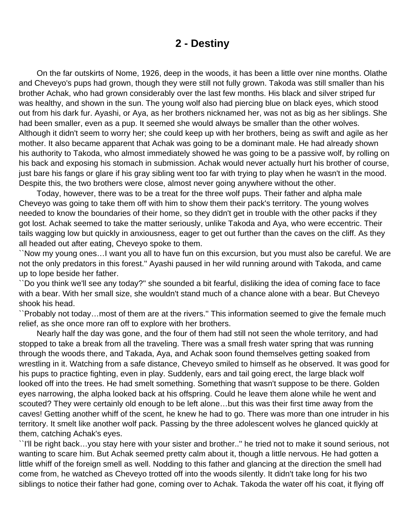### **2 - Destiny**

<span id="page-2-0"></span> On the far outskirts of Nome, 1926, deep in the woods, it has been a little over nine months. Olathe and Cheveyo's pups had grown, though they were still not fully grown. Takoda was still smaller than his brother Achak, who had grown considerably over the last few months. His black and silver striped fur was healthy, and shown in the sun. The young wolf also had piercing blue on black eyes, which stood out from his dark fur. Ayashi, or Aya, as her brothers nicknamed her, was not as big as her siblings. She had been smaller, even as a pup. It seemed she would always be smaller than the other wolves. Although it didn't seem to worry her; she could keep up with her brothers, being as swift and agile as her mother. It also became apparent that Achak was going to be a dominant male. He had already shown his authority to Takoda, who almost immediately showed he was going to be a passive wolf, by rolling on his back and exposing his stomach in submission. Achak would never actually hurt his brother of course, just bare his fangs or glare if his gray sibling went too far with trying to play when he wasn't in the mood. Despite this, the two brothers were close, almost never going anywhere without the other.

 Today, however, there was to be a treat for the three wolf pups. Their father and alpha male Cheveyo was going to take them off with him to show them their pack's territory. The young wolves needed to know the boundaries of their home, so they didn't get in trouble with the other packs if they got lost. Achak seemed to take the matter seriously, unlike Takoda and Aya, who were eccentric. Their tails wagging low but quickly in anxiousness, eager to get out further than the caves on the cliff. As they all headed out after eating, Cheveyo spoke to them.

``Now my young ones…I want you all to have fun on this excursion, but you must also be careful. We are not the only predators in this forest.'' Ayashi paused in her wild running around with Takoda, and came up to lope beside her father.

``Do you think we'll see any today?'' she sounded a bit fearful, disliking the idea of coming face to face with a bear. With her small size, she wouldn't stand much of a chance alone with a bear. But Cheveyo shook his head.

``Probably not today…most of them are at the rivers.'' This information seemed to give the female much relief, as she once more ran off to explore with her brothers.

 Nearly half the day was gone, and the four of them had still not seen the whole territory, and had stopped to take a break from all the traveling. There was a small fresh water spring that was running through the woods there, and Takada, Aya, and Achak soon found themselves getting soaked from wrestling in it. Watching from a safe distance, Cheveyo smiled to himself as he observed. It was good for his pups to practice fighting, even in play. Suddenly, ears and tail going erect, the large black wolf looked off into the trees. He had smelt something. Something that wasn't suppose to be there. Golden eyes narrowing, the alpha looked back at his offspring. Could he leave them alone while he went and scouted? They were certainly old enough to be left alone…but this was their first time away from the caves! Getting another whiff of the scent, he knew he had to go. There was more than one intruder in his territory. It smelt like another wolf pack. Passing by the three adolescent wolves he glanced quickly at them, catching Achak's eyes.

``I'll be right back…you stay here with your sister and brother..'' he tried not to make it sound serious, not wanting to scare him. But Achak seemed pretty calm about it, though a little nervous. He had gotten a little whiff of the foreign smell as well. Nodding to this father and glancing at the direction the smell had come from, he watched as Cheveyo trotted off into the woods silently. It didn't take long for his two siblings to notice their father had gone, coming over to Achak. Takoda the water off his coat, it flying off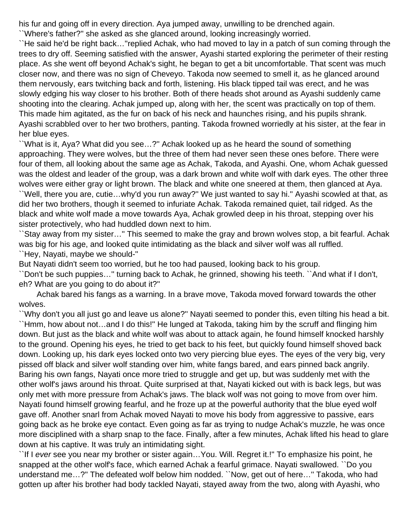his fur and going off in every direction. Aya jumped away, unwilling to be drenched again.

``Where's father?'' she asked as she glanced around, looking increasingly worried.

``He said he'd be right back…''replied Achak, who had moved to lay in a patch of sun coming through the trees to dry off. Seeming satisfied with the answer, Ayashi started exploring the perimeter of their resting place. As she went off beyond Achak's sight, he began to get a bit uncomfortable. That scent was much closer now, and there was no sign of Cheveyo. Takoda now seemed to smell it, as he glanced around them nervously, ears twitching back and forth, listening. His black tipped tail was erect, and he was slowly edging his way closer to his brother. Both of there heads shot around as Ayashi suddenly came shooting into the clearing. Achak jumped up, along with her, the scent was practically on top of them. This made him agitated, as the fur on back of his neck and haunches rising, and his pupils shrank. Ayashi scrabbled over to her two brothers, panting. Takoda frowned worriedly at his sister, at the fear in her blue eyes.

``What is it, Aya? What did you see…?'' Achak looked up as he heard the sound of something approaching. They were wolves, but the three of them had never seen these ones before. There were four of them, all looking about the same age as Achak, Takoda, and Ayashi. One, whom Achak guessed was the oldest and leader of the group, was a dark brown and white wolf with dark eyes. The other three wolves were either gray or light brown. The black and white one sneered at them, then glanced at Aya. ``Well, there you are, cutie…why'd you run away?'' We just wanted to say hi.'' Ayashi scowled at that, as did her two brothers, though it seemed to infuriate Achak. Takoda remained quiet, tail ridged. As the black and white wolf made a move towards Aya, Achak growled deep in his throat, stepping over his sister protectively, who had huddled down next to him.

``Stay away from my sister…'' This seemed to make the gray and brown wolves stop, a bit fearful. Achak was big for his age, and looked quite intimidating as the black and silver wolf was all ruffled. ``Hey, Nayati, maybe we should-''

But Nayati didn't seem too worried, but he too had paused, looking back to his group.

``Don't be such puppies…'' turning back to Achak, he grinned, showing his teeth. ``And what if I don't, eh? What are you going to do about it?''

 Achak bared his fangs as a warning. In a brave move, Takoda moved forward towards the other wolves.

``Why don't you all just go and leave us alone?'' Nayati seemed to ponder this, even tilting his head a bit. ``Hmm, how about not…and I do this!'' He lunged at Takoda, taking him by the scruff and flinging him down. But just as the black and white wolf was about to attack again, he found himself knocked harshly to the ground. Opening his eyes, he tried to get back to his feet, but quickly found himself shoved back down. Looking up, his dark eyes locked onto two very piercing blue eyes. The eyes of the very big, very pissed off black and silver wolf standing over him, white fangs bared, and ears pinned back angrily. Baring his own fangs, Nayati once more tried to struggle and get up, but was suddenly met with the other wolf's jaws around his throat. Quite surprised at that, Nayati kicked out with is back legs, but was only met with more pressure from Achak's jaws. The black wolf was not going to move from over him. Nayati found himself growing fearful, and he froze up at the powerful authority that the blue eyed wolf gave off. Another snarl from Achak moved Nayati to move his body from aggressive to passive, ears going back as he broke eye contact. Even going as far as trying to nudge Achak's muzzle, he was once more disciplined with a sharp snap to the face. Finally, after a few minutes, Achak lifted his head to glare down at his captive. It was truly an intimidating sight.

``If I ever see you near my brother or sister again…You. Will. Regret it.!'' To emphasize his point, he snapped at the other wolf's face, which earned Achak a fearful grimace. Nayati swallowed. ``Do you understand me…?'' The defeated wolf below him nodded. ``Now, get out of here…'' Takoda, who had gotten up after his brother had body tackled Nayati, stayed away from the two, along with Ayashi, who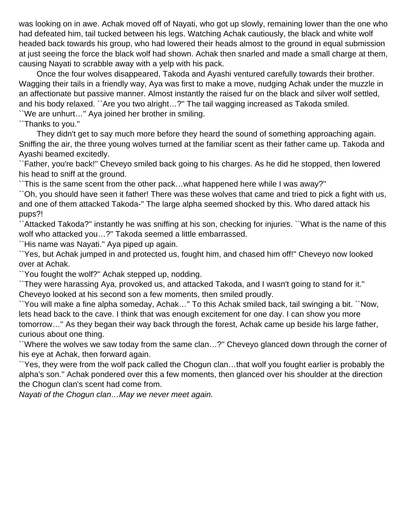was looking on in awe. Achak moved off of Nayati, who got up slowly, remaining lower than the one who had defeated him, tail tucked between his legs. Watching Achak cautiously, the black and white wolf headed back towards his group, who had lowered their heads almost to the ground in equal submission at just seeing the force the black wolf had shown. Achak then snarled and made a small charge at them, causing Nayati to scrabble away with a yelp with his pack.

 Once the four wolves disappeared, Takoda and Ayashi ventured carefully towards their brother. Wagging their tails in a friendly way, Aya was first to make a move, nudging Achak under the muzzle in an affectionate but passive manner. Almost instantly the raised fur on the black and silver wolf settled, and his body relaxed. ``Are you two alright…?'' The tail wagging increased as Takoda smiled.

``We are unhurt…'' Aya joined her brother in smiling.

``Thanks to you.''

 They didn't get to say much more before they heard the sound of something approaching again. Sniffing the air, the three young wolves turned at the familiar scent as their father came up. Takoda and Ayashi beamed excitedly.

``Father, you're back!'' Cheveyo smiled back going to his charges. As he did he stopped, then lowered his head to sniff at the ground.

``This is the same scent from the other pack…what happened here while I was away?''

``Oh, you should have seen it father! There was these wolves that came and tried to pick a fight with us, and one of them attacked Takoda-'' The large alpha seemed shocked by this. Who dared attack his pups?!

``Attacked Takoda?'' instantly he was sniffing at his son, checking for injuries. ``What is the name of this wolf who attacked you...?" Takoda seemed a little embarrassed.

``His name was Nayati.'' Aya piped up again.

``Yes, but Achak jumped in and protected us, fought him, and chased him off!'' Cheveyo now looked over at Achak.

``You fought the wolf?'' Achak stepped up, nodding.

``They were harassing Aya, provoked us, and attacked Takoda, and I wasn't going to stand for it.'' Cheveyo looked at his second son a few moments, then smiled proudly.

``You will make a fine alpha someday, Achak…'' To this Achak smiled back, tail swinging a bit. ``Now, lets head back to the cave. I think that was enough excitement for one day. I can show you more tomorrow…'' As they began their way back through the forest, Achak came up beside his large father, curious about one thing.

``Where the wolves we saw today from the same clan…?'' Cheveyo glanced down through the corner of his eye at Achak, then forward again.

``Yes, they were from the wolf pack called the Chogun clan…that wolf you fought earlier is probably the alpha's son.'' Achak pondered over this a few moments, then glanced over his shoulder at the direction the Chogun clan's scent had come from.

Nayati of the Chogun clan…May we never meet again.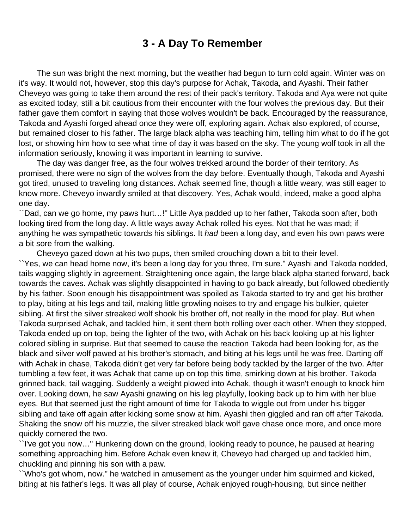# **3 - A Day To Remember**

<span id="page-5-0"></span> The sun was bright the next morning, but the weather had begun to turn cold again. Winter was on it's way. It would not, however, stop this day's purpose for Achak, Takoda, and Ayashi. Their father Cheveyo was going to take them around the rest of their pack's territory. Takoda and Aya were not quite as excited today, still a bit cautious from their encounter with the four wolves the previous day. But their father gave them comfort in saying that those wolves wouldn't be back. Encouraged by the reassurance, Takoda and Ayashi forged ahead once they were off, exploring again. Achak also explored, of course, but remained closer to his father. The large black alpha was teaching him, telling him what to do if he got lost, or showing him how to see what time of day it was based on the sky. The young wolf took in all the information seriously, knowing it was important in learning to survive.

 The day was danger free, as the four wolves trekked around the border of their territory. As promised, there were no sign of the wolves from the day before. Eventually though, Takoda and Ayashi got tired, unused to traveling long distances. Achak seemed fine, though a little weary, was still eager to know more. Cheveyo inwardly smiled at that discovery. Yes, Achak would, indeed, make a good alpha one day.

``Dad, can we go home, my paws hurt…!'' Little Aya padded up to her father, Takoda soon after, both looking tired from the long day. A little ways away Achak rolled his eyes. Not that he was mad; if anything he was sympathetic towards his siblings. It had been a long day, and even his own paws were a bit sore from the walking.

Cheveyo gazed down at his two pups, then smiled crouching down a bit to their level.

``Yes, we can head home now, it's been a long day for you three, I'm sure.'' Ayashi and Takoda nodded, tails wagging slightly in agreement. Straightening once again, the large black alpha started forward, back towards the caves. Achak was slightly disappointed in having to go back already, but followed obediently by his father. Soon enough his disappointment was spoiled as Takoda started to try and get his brother to play, biting at his legs and tail, making little growling noises to try and engage his bulkier, quieter sibling. At first the silver streaked wolf shook his brother off, not really in the mood for play. But when Takoda surprised Achak, and tackled him, it sent them both rolling over each other. When they stopped, Takoda ended up on top, being the lighter of the two, with Achak on his back looking up at his lighter colored sibling in surprise. But that seemed to cause the reaction Takoda had been looking for, as the black and silver wolf pawed at his brother's stomach, and biting at his legs until he was free. Darting off with Achak in chase, Takoda didn't get very far before being body tackled by the larger of the two. After tumbling a few feet, it was Achak that came up on top this time, smirking down at his brother. Takoda grinned back, tail wagging. Suddenly a weight plowed into Achak, though it wasn't enough to knock him over. Looking down, he saw Ayashi gnawing on his leg playfully, looking back up to him with her blue eyes. But that seemed just the right amount of time for Takoda to wiggle out from under his bigger sibling and take off again after kicking some snow at him. Ayashi then giggled and ran off after Takoda. Shaking the snow off his muzzle, the silver streaked black wolf gave chase once more, and once more quickly cornered the two.

``I've got you now…'' Hunkering down on the ground, looking ready to pounce, he paused at hearing something approaching him. Before Achak even knew it, Cheveyo had charged up and tackled him, chuckling and pinning his son with a paw.

``Who's got whom, now.'' he watched in amusement as the younger under him squirmed and kicked, biting at his father's legs. It was all play of course, Achak enjoyed rough-housing, but since neither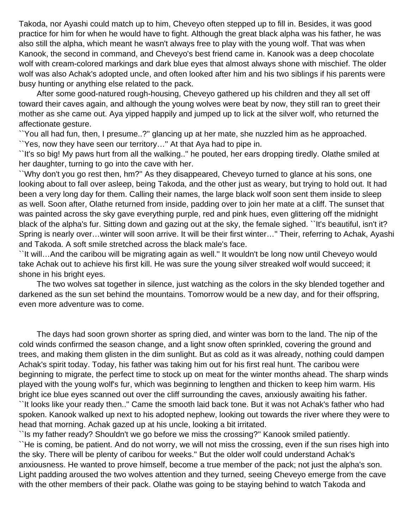Takoda, nor Ayashi could match up to him, Cheveyo often stepped up to fill in. Besides, it was good practice for him for when he would have to fight. Although the great black alpha was his father, he was also still the alpha, which meant he wasn't always free to play with the young wolf. That was when Kanook, the second in command, and Cheveyo's best friend came in. Kanook was a deep chocolate wolf with cream-colored markings and dark blue eyes that almost always shone with mischief. The older wolf was also Achak's adopted uncle, and often looked after him and his two siblings if his parents were busy hunting or anything else related to the pack.

 After some good-natured rough-housing, Cheveyo gathered up his children and they all set off toward their caves again, and although the young wolves were beat by now, they still ran to greet their mother as she came out. Aya yipped happily and jumped up to lick at the silver wolf, who returned the affectionate gesture.

``You all had fun, then, I presume..?'' glancing up at her mate, she nuzzled him as he approached. ``Yes, now they have seen our territory…'' At that Aya had to pipe in.

``It's so big! My paws hurt from all the walking..'' he pouted, her ears dropping tiredly. Olathe smiled at her daughter, turning to go into the cave with her.

``Why don't you go rest then, hm?'' As they disappeared, Cheveyo turned to glance at his sons, one looking about to fall over asleep, being Takoda, and the other just as weary, but trying to hold out. It had been a very long day for them. Calling their names, the large black wolf soon sent them inside to sleep as well. Soon after, Olathe returned from inside, padding over to join her mate at a cliff. The sunset that was painted across the sky gave everything purple, red and pink hues, even glittering off the midnight black of the alpha's fur. Sitting down and gazing out at the sky, the female sighed. ``It's beautiful, isn't it? Spring is nearly over…winter will soon arrive. It will be their first winter…'' Their, referring to Achak, Ayashi and Takoda. A soft smile stretched across the black male's face.

``It will…And the caribou will be migrating again as well.'' It wouldn't be long now until Cheveyo would take Achak out to achieve his first kill. He was sure the young silver streaked wolf would succeed; it shone in his bright eyes.

 The two wolves sat together in silence, just watching as the colors in the sky blended together and darkened as the sun set behind the mountains. Tomorrow would be a new day, and for their offspring, even more adventure was to come.

 The days had soon grown shorter as spring died, and winter was born to the land. The nip of the cold winds confirmed the season change, and a light snow often sprinkled, covering the ground and trees, and making them glisten in the dim sunlight. But as cold as it was already, nothing could dampen Achak's spirit today. Today, his father was taking him out for his first real hunt. The caribou were beginning to migrate, the perfect time to stock up on meat for the winter months ahead. The sharp winds played with the young wolf's fur, which was beginning to lengthen and thicken to keep him warm. His bright ice blue eyes scanned out over the cliff surrounding the caves, anxiously awaiting his father. ``It looks like your ready then..'' Came the smooth laid back tone. But it was not Achak's father who had spoken. Kanook walked up next to his adopted nephew, looking out towards the river where they were to head that morning. Achak gazed up at his uncle, looking a bit irritated.

``Is my father ready? Shouldn't we go before we miss the crossing?'' Kanook smiled patiently. ``He is coming, be patient. And do not worry, we will not miss the crossing, even if the sun rises high into the sky. There will be plenty of caribou for weeks.'' But the older wolf could understand Achak's anxiousness. He wanted to prove himself, become a true member of the pack; not just the alpha's son. Light padding aroused the two wolves attention and they turned, seeing Cheveyo emerge from the cave with the other members of their pack. Olathe was going to be staying behind to watch Takoda and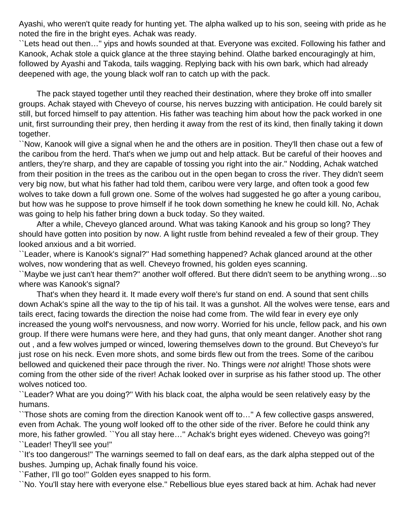Ayashi, who weren't quite ready for hunting yet. The alpha walked up to his son, seeing with pride as he noted the fire in the bright eyes. Achak was ready.

``Lets head out then…'' yips and howls sounded at that. Everyone was excited. Following his father and Kanook, Achak stole a quick glance at the three staying behind. Olathe barked encouragingly at him, followed by Ayashi and Takoda, tails wagging. Replying back with his own bark, which had already deepened with age, the young black wolf ran to catch up with the pack.

 The pack stayed together until they reached their destination, where they broke off into smaller groups. Achak stayed with Cheveyo of course, his nerves buzzing with anticipation. He could barely sit still, but forced himself to pay attention. His father was teaching him about how the pack worked in one unit, first surrounding their prey, then herding it away from the rest of its kind, then finally taking it down together.

``Now, Kanook will give a signal when he and the others are in position. They'll then chase out a few of the caribou from the herd. That's when we jump out and help attack. But be careful of their hooves and antlers, they're sharp, and they are capable of tossing you right into the air.'' Nodding, Achak watched from their position in the trees as the caribou out in the open began to cross the river. They didn't seem very big now, but what his father had told them, caribou were very large, and often took a good few wolves to take down a full grown one. Some of the wolves had suggested he go after a young caribou, but how was he suppose to prove himself if he took down something he knew he could kill. No, Achak was going to help his father bring down a buck today. So they waited.

 After a while, Cheveyo glanced around. What was taking Kanook and his group so long? They should have gotten into position by now. A light rustle from behind revealed a few of their group. They looked anxious and a bit worried.

``Leader, where is Kanook's signal?'' Had something happened? Achak glanced around at the other wolves, now wondering that as well. Cheveyo frowned, his golden eyes scanning.

``Maybe we just can't hear them?'' another wolf offered. But there didn't seem to be anything wrong…so where was Kanook's signal?

 That's when they heard it. It made every wolf there's fur stand on end. A sound that sent chills down Achak's spine all the way to the tip of his tail. It was a gunshot. All the wolves were tense, ears and tails erect, facing towards the direction the noise had come from. The wild fear in every eye only increased the young wolf's nervousness, and now worry. Worried for his uncle, fellow pack, and his own group. If there were humans were here, and they had guns, that only meant danger. Another shot rang out , and a few wolves jumped or winced, lowering themselves down to the ground. But Cheveyo's fur just rose on his neck. Even more shots, and some birds flew out from the trees. Some of the caribou bellowed and quickened their pace through the river. No. Things were not alright! Those shots were coming from the other side of the river! Achak looked over in surprise as his father stood up. The other wolves noticed too.

``Leader? What are you doing?'' With his black coat, the alpha would be seen relatively easy by the humans.

``Those shots are coming from the direction Kanook went off to…'' A few collective gasps answered, even from Achak. The young wolf looked off to the other side of the river. Before he could think any more, his father growled. ``You all stay here…'' Achak's bright eyes widened. Cheveyo was going?! ``Leader! They'll see you!''

``It's too dangerous!'' The warnings seemed to fall on deaf ears, as the dark alpha stepped out of the bushes. Jumping up, Achak finally found his voice.

``Father, I'll go too!'' Golden eyes snapped to his form.

``No. You'll stay here with everyone else.'' Rebellious blue eyes stared back at him. Achak had never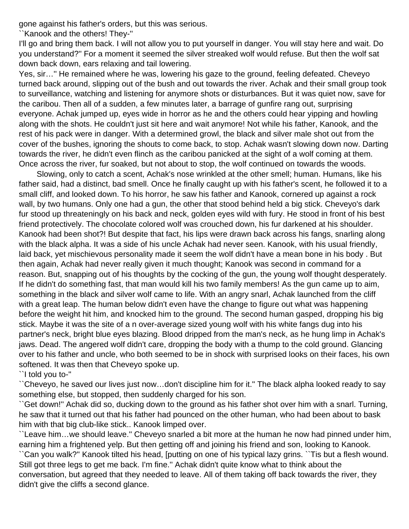gone against his father's orders, but this was serious.

``Kanook and the others! They-''

I'll go and bring them back. I will not allow you to put yourself in danger. You will stay here and wait. Do you understand?'' For a moment it seemed the silver streaked wolf would refuse. But then the wolf sat down back down, ears relaxing and tail lowering.

Yes, sir…'' He remained where he was, lowering his gaze to the ground, feeling defeated. Cheveyo turned back around, slipping out of the bush and out towards the river. Achak and their small group took to surveillance, watching and listening for anymore shots or disturbances. But it was quiet now, save for the caribou. Then all of a sudden, a few minutes later, a barrage of gunfire rang out, surprising everyone. Achak jumped up, eyes wide in horror as he and the others could hear yipping and howling along with the shots. He couldn't just sit here and wait anymore! Not while his father, Kanook, and the rest of his pack were in danger. With a determined growl, the black and silver male shot out from the cover of the bushes, ignoring the shouts to come back, to stop. Achak wasn't slowing down now. Darting towards the river, he didn't even flinch as the caribou panicked at the sight of a wolf coming at them. Once across the river, fur soaked, but not about to stop, the wolf continued on towards the woods.

 Slowing, only to catch a scent, Achak's nose wrinkled at the other smell; human. Humans, like his father said, had a distinct, bad smell. Once he finally caught up with his father's scent, he followed it to a small cliff, and looked down. To his horror, he saw his father and Kanook, cornered up against a rock wall, by two humans. Only one had a gun, the other that stood behind held a big stick. Cheveyo's dark fur stood up threateningly on his back and neck, golden eyes wild with fury. He stood in front of his best friend protectively. The chocolate colored wolf was crouched down, his fur darkened at his shoulder. Kanook had been shot?! But despite that fact, his lips were drawn back across his fangs, snarling along with the black alpha. It was a side of his uncle Achak had never seen. Kanook, with his usual friendly, laid back, yet mischievous personality made it seem the wolf didn't have a mean bone in his body . But then again, Achak had never really given it much thought; Kanook was second in command for a reason. But, snapping out of his thoughts by the cocking of the gun, the young wolf thought desperately. If he didn't do something fast, that man would kill his two family members! As the gun came up to aim, something in the black and silver wolf came to life. With an angry snarl, Achak launched from the cliff with a great leap. The human below didn't even have the change to figure out what was happening before the weight hit him, and knocked him to the ground. The second human gasped, dropping his big stick. Maybe it was the site of a n over-average sized young wolf with his white fangs dug into his partner's neck, bright blue eyes blazing. Blood dripped from the man's neck, as he hung limp in Achak's jaws. Dead. The angered wolf didn't care, dropping the body with a thump to the cold ground. Glancing over to his father and uncle, who both seemed to be in shock with surprised looks on their faces, his own softened. It was then that Cheveyo spoke up.

``I told you to-''

``Cheveyo, he saved our lives just now…don't discipline him for it.'' The black alpha looked ready to say something else, but stopped, then suddenly charged for his son.

``Get down!'' Achak did so, ducking down to the ground as his father shot over him with a snarl. Turning, he saw that it turned out that his father had pounced on the other human, who had been about to bask him with that big club-like stick.. Kanook limped over.

``Leave him…we should leave.'' Cheveyo snarled a bit more at the human he now had pinned under him, earning him a frightened yelp. But then getting off and joining his friend and son, looking to Kanook.

``Can you walk?'' Kanook tilted his head, [putting on one of his typical lazy grins. ``Tis but a flesh wound. Still got three legs to get me back. I'm fine.'' Achak didn't quite know what to think about the conversation, but agreed that they needed to leave. All of them taking off back towards the river, they didn't give the cliffs a second glance.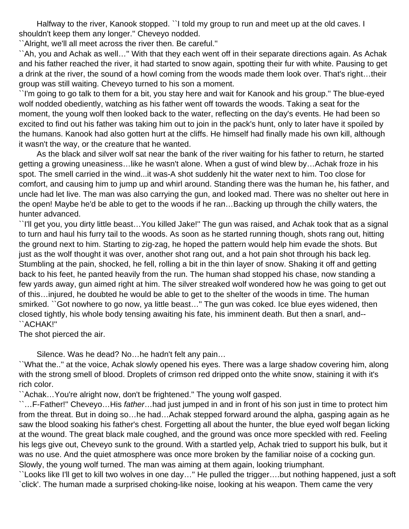Halfway to the river, Kanook stopped. ``I told my group to run and meet up at the old caves. I shouldn't keep them any longer.'' Cheveyo nodded.

``Alright, we'll all meet across the river then. Be careful.''

``Ah, you and Achak as well…'' With that they each went off in their separate directions again. As Achak and his father reached the river, it had started to snow again, spotting their fur with white. Pausing to get a drink at the river, the sound of a howl coming from the woods made them look over. That's right…their group was still waiting. Cheveyo turned to his son a moment.

``I'm going to go talk to them for a bit, you stay here and wait for Kanook and his group.'' The blue-eyed wolf nodded obediently, watching as his father went off towards the woods. Taking a seat for the moment, the young wolf then looked back to the water, reflecting on the day's events. He had been so excited to find out his father was taking him out to join in the pack's hunt, only to later have it spoiled by the humans. Kanook had also gotten hurt at the cliffs. He himself had finally made his own kill, although it wasn't the way, or the creature that he wanted.

 As the black and silver wolf sat near the bank of the river waiting for his father to return, he started getting a growing uneasiness…like he wasn't alone. When a gust of wind blew by…Achak froze in his spot. The smell carried in the wind...it was-A shot suddenly hit the water next to him. Too close for comfort, and causing him to jump up and whirl around. Standing there was the human he, his father, and uncle had let live. The man was also carrying the gun, and looked mad. There was no shelter out here in the open! Maybe he'd be able to get to the woods if he ran…Backing up through the chilly waters, the hunter advanced.

``I'll get you, you dirty little beast…You killed Jake!'' The gun was raised, and Achak took that as a signal to turn and haul his furry tail to the woods. As soon as he started running though, shots rang out, hitting the ground next to him. Starting to zig-zag, he hoped the pattern would help him evade the shots. But just as the wolf thought it was over, another shot rang out, and a hot pain shot through his back leg. Stumbling at the pain, shocked, he fell, rolling a bit in the thin layer of snow. Shaking it off and getting back to his feet, he panted heavily from the run. The human shad stopped his chase, now standing a few yards away, gun aimed right at him. The silver streaked wolf wondered how he was going to get out of this…injured, he doubted he would be able to get to the shelter of the woods in time. The human smirked. ``Got nowhere to go now, ya little beast…'' The gun was coked. Ice blue eyes widened, then closed tightly, his whole body tensing awaiting his fate, his imminent death. But then a snarl, and-- ``ACHAK!''

The shot pierced the air.

Silence. Was he dead? No…he hadn't felt any pain…

``What the..'' at the voice, Achak slowly opened his eyes. There was a large shadow covering him, along with the strong smell of blood. Droplets of crimson red dripped onto the white snow, staining it with it's rich color.

``Achak…You're alright now, don't be frightened.'' The young wolf gasped.

``…F-Father!'' Cheveyo…His father…had just jumped in and in front of his son just in time to protect him from the threat. But in doing so…he had…Achak stepped forward around the alpha, gasping again as he saw the blood soaking his father's chest. Forgetting all about the hunter, the blue eyed wolf began licking at the wound. The great black male coughed, and the ground was once more speckled with red. Feeling his legs give out, Cheveyo sunk to the ground. With a startled yelp, Achak tried to support his bulk, but it was no use. And the quiet atmosphere was once more broken by the familiar noise of a cocking gun. Slowly, the young wolf turned. The man was aiming at them again, looking triumphant.

``Looks like I'll get to kill two wolves in one day…'' He pulled the trigger….but nothing happened, just a soft `click'. The human made a surprised choking-like noise, looking at his weapon. Them came the very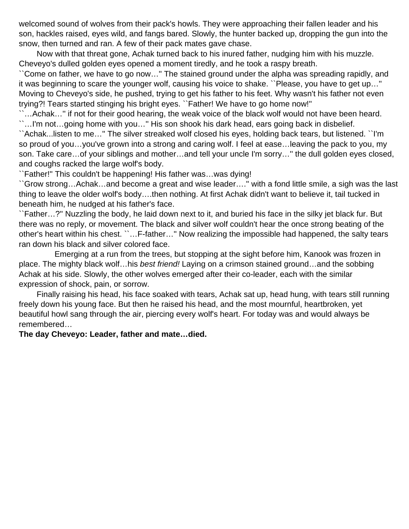welcomed sound of wolves from their pack's howls. They were approaching their fallen leader and his son, hackles raised, eyes wild, and fangs bared. Slowly, the hunter backed up, dropping the gun into the snow, then turned and ran. A few of their pack mates gave chase.

 Now with that threat gone, Achak turned back to his inured father, nudging him with his muzzle. Cheveyo's dulled golden eyes opened a moment tiredly, and he took a raspy breath.

``Come on father, we have to go now…'' The stained ground under the alpha was spreading rapidly, and it was beginning to scare the younger wolf, causing his voice to shake. ``Please, you have to get up…'' Moving to Cheveyo's side, he pushed, trying to get his father to his feet. Why wasn't his father not even trying?! Tears started stinging his bright eyes. ``Father! We have to go home now!''

...Achak..." if not for their good hearing, the weak voice of the black wolf would not have been heard. ``…I'm not…going home with you…'' His son shook his dark head, ears going back in disbelief.

``Achak...listen to me…'' The silver streaked wolf closed his eyes, holding back tears, but listened. ``I'm so proud of you…you've grown into a strong and caring wolf. I feel at ease…leaving the pack to you, my son. Take care…of your siblings and mother…and tell your uncle I'm sorry…'' the dull golden eyes closed, and coughs racked the large wolf's body.

``Father!'' This couldn't be happening! His father was…was dying!

``Grow strong…Achak…and become a great and wise leader….'' with a fond little smile, a sigh was the last thing to leave the older wolf's body….then nothing. At first Achak didn't want to believe it, tail tucked in beneath him, he nudged at his father's face.

``Father…?'' Nuzzling the body, he laid down next to it, and buried his face in the silky jet black fur. But there was no reply, or movement. The black and silver wolf couldn't hear the once strong beating of the other's heart within his chest. ``…F-father…'' Now realizing the impossible had happened, the salty tears ran down his black and silver colored face.

 Emerging at a run from the trees, but stopping at the sight before him, Kanook was frozen in place. The mighty black wolf...his best friend! Laying on a crimson stained ground...and the sobbing Achak at his side. Slowly, the other wolves emerged after their co-leader, each with the similar expression of shock, pain, or sorrow.

 Finally raising his head, his face soaked with tears, Achak sat up, head hung, with tears still running freely down his young face. But then he raised his head, and the most mournful, heartbroken, yet beautiful howl sang through the air, piercing every wolf's heart. For today was and would always be remembered…

#### **The day Cheveyo: Leader, father and mate…died.**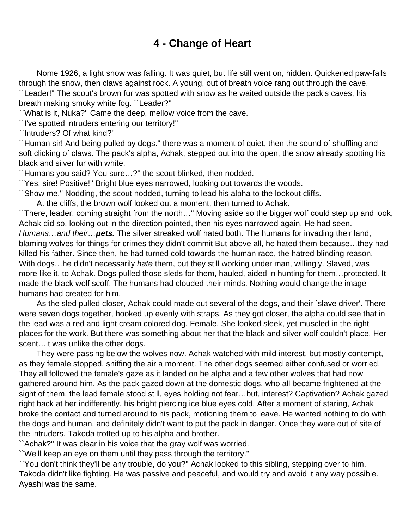# **4 - Change of Heart**

<span id="page-11-0"></span> Nome 1926, a light snow was falling. It was quiet, but life still went on, hidden. Quickened paw-falls through the snow, then claws against rock. A young, out of breath voice rang out through the cave. ``Leader!'' The scout's brown fur was spotted with snow as he waited outside the pack's caves, his breath making smoky white fog. ``Leader?''

``What is it, Nuka?'' Came the deep, mellow voice from the cave.

``I've spotted intruders entering our territory!''

``Intruders? Of what kind?''

``Human sir! And being pulled by dogs.'' there was a moment of quiet, then the sound of shuffling and soft clicking of claws. The pack's alpha, Achak, stepped out into the open, the snow already spotting his black and silver fur with white.

``Humans you said? You sure…?'' the scout blinked, then nodded.

``Yes, sire! Positive!'' Bright blue eyes narrowed, looking out towards the woods.

``Show me.'' Nodding, the scout nodded, turning to lead his alpha to the lookout cliffs.

At the cliffs, the brown wolf looked out a moment, then turned to Achak.

``There, leader, coming straight from the north…'' Moving aside so the bigger wolf could step up and look, Achak did so, looking out in the direction pointed, then his eyes narrowed again. He had seen. Humans…and their…**pets.** The silver streaked wolf hated both. The humans for invading their land, blaming wolves for things for crimes they didn't commit But above all, he hated them because…they had killed his father. Since then, he had turned cold towards the human race, the hatred blinding reason. With dogs...he didn't necessarily hate them, but they still working under man, willingly. Slaved, was more like it, to Achak. Dogs pulled those sleds for them, hauled, aided in hunting for them…protected. It made the black wolf scoff. The humans had clouded their minds. Nothing would change the image humans had created for him.

 As the sled pulled closer, Achak could made out several of the dogs, and their `slave driver'. There were seven dogs together, hooked up evenly with straps. As they got closer, the alpha could see that in the lead was a red and light cream colored dog. Female. She looked sleek, yet muscled in the right places for the work. But there was something about her that the black and silver wolf couldn't place. Her scent... it was unlike the other dogs.

 They were passing below the wolves now. Achak watched with mild interest, but mostly contempt, as they female stopped, sniffing the air a moment. The other dogs seemed either confused or worried. They all followed the female's gaze as it landed on he alpha and a few other wolves that had now gathered around him. As the pack gazed down at the domestic dogs, who all became frightened at the sight of them, the lead female stood still, eyes holding not fear…but, interest? Captivation? Achak gazed right back at her indifferently, his bright piercing ice blue eyes cold. After a moment of staring, Achak broke the contact and turned around to his pack, motioning them to leave. He wanted nothing to do with the dogs and human, and definitely didn't want to put the pack in danger. Once they were out of site of the intruders, Takoda trotted up to his alpha and brother.

``Achak?'' It was clear in his voice that the gray wolf was worried.

``We'll keep an eye on them until they pass through the territory.''

``You don't think they'll be any trouble, do you?'' Achak looked to this sibling, stepping over to him. Takoda didn't like fighting. He was passive and peaceful, and would try and avoid it any way possible. Ayashi was the same.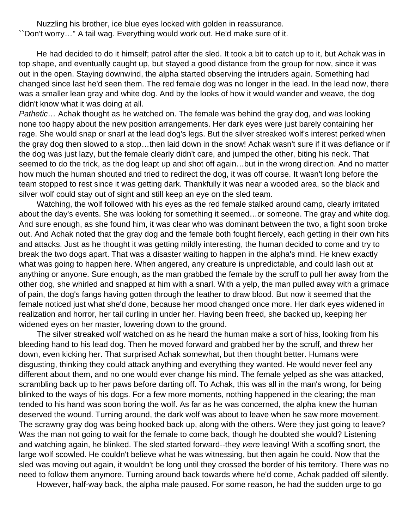Nuzzling his brother, ice blue eyes locked with golden in reassurance. ``Don't worry…'' A tail wag. Everything would work out. He'd make sure of it.

 He had decided to do it himself; patrol after the sled. It took a bit to catch up to it, but Achak was in top shape, and eventually caught up, but stayed a good distance from the group for now, since it was out in the open. Staying downwind, the alpha started observing the intruders again. Something had changed since last he'd seen them. The red female dog was no longer in the lead. In the lead now, there was a smaller lean gray and white dog. And by the looks of how it would wander and weave, the dog didn't know what it was doing at all.

Pathetic... Achak thought as he watched on. The female was behind the gray dog, and was looking none too happy about the new position arrangements. Her dark eyes were just barely containing her rage. She would snap or snarl at the lead dog's legs. But the silver streaked wolf's interest perked when the gray dog then slowed to a stop…then laid down in the snow! Achak wasn't sure if it was defiance or if the dog was just lazy, but the female clearly didn't care, and jumped the other, biting his neck. That seemed to do the trick, as the dog leapt up and shot off again…but in the wrong direction. And no matter how much the human shouted and tried to redirect the dog, it was off course. It wasn't long before the team stopped to rest since it was getting dark. Thankfully it was near a wooded area, so the black and silver wolf could stay out of sight and still keep an eye on the sled team.

 Watching, the wolf followed with his eyes as the red female stalked around camp, clearly irritated about the day's events. She was looking for something it seemed…or someone. The gray and white dog. And sure enough, as she found him, it was clear who was dominant between the two, a fight soon broke out. And Achak noted that the gray dog and the female both fought fiercely, each getting in their own hits and attacks. Just as he thought it was getting mildly interesting, the human decided to come and try to break the two dogs apart. That was a disaster waiting to happen in the alpha's mind. He knew exactly what was going to happen here. When angered, any creature is unpredictable, and could lash out at anything or anyone. Sure enough, as the man grabbed the female by the scruff to pull her away from the other dog, she whirled and snapped at him with a snarl. With a yelp, the man pulled away with a grimace of pain, the dog's fangs having gotten through the leather to draw blood. But now it seemed that the female noticed just what she'd done, because her mood changed once more. Her dark eyes widened in realization and horror, her tail curling in under her. Having been freed, she backed up, keeping her widened eyes on her master, lowering down to the ground.

 The silver streaked wolf watched on as he heard the human make a sort of hiss, looking from his bleeding hand to his lead dog. Then he moved forward and grabbed her by the scruff, and threw her down, even kicking her. That surprised Achak somewhat, but then thought better. Humans were disgusting, thinking they could attack anything and everything they wanted. He would never feel any different about them, and no one would ever change his mind. The female yelped as she was attacked, scrambling back up to her paws before darting off. To Achak, this was all in the man's wrong, for being blinked to the ways of his dogs. For a few more moments, nothing happened in the clearing; the man tended to his hand was soon boring the wolf. As far as he was concerned, the alpha knew the human deserved the wound. Turning around, the dark wolf was about to leave when he saw more movement. The scrawny gray dog was being hooked back up, along with the others. Were they just going to leave? Was the man not going to wait for the female to come back, though he doubted she would? Listening and watching again, he blinked. The sled started forward--they were leaving! With a scoffing snort, the large wolf scowled. He couldn't believe what he was witnessing, but then again he could. Now that the sled was moving out again, it wouldn't be long until they crossed the border of his territory. There was no need to follow them anymore. Turning around back towards where he'd come, Achak padded off silently.

However, half-way back, the alpha male paused. For some reason, he had the sudden urge to go